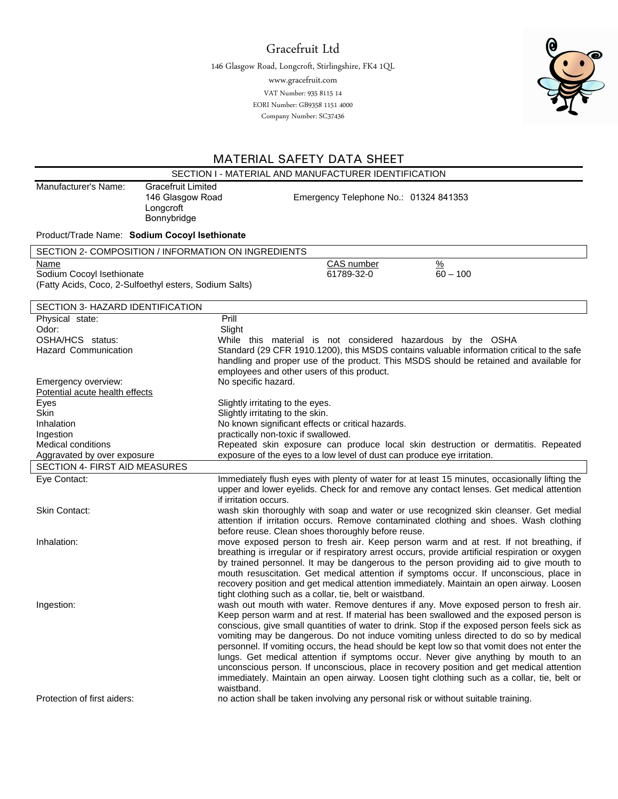Gracefruit Ltd

146 Glasgow Road, Longcroft, Stirlingshire, FK4 1QL

www.gracefruit.com

 EORI Number: GB9358 1151 4000 VAT Number: 935 8115 14 Company Number: SC37436



## MATERIAL SAFETY DATA SHEET

| SECTION I - MATERIAL AND MANUFACTURER IDENTIFICATION                                              |                                                                                                                                                                                    |  |
|---------------------------------------------------------------------------------------------------|------------------------------------------------------------------------------------------------------------------------------------------------------------------------------------|--|
| Manufacturer's Name:<br><b>Gracefruit Limited</b><br>146 Glasgow Road<br>Longcroft<br>Bonnybridge | Emergency Telephone No.: 01324 841353                                                                                                                                              |  |
| Product/Trade Name: Sodium Cocoyl Isethionate                                                     |                                                                                                                                                                                    |  |
| SECTION 2- COMPOSITION / INFORMATION ON INGREDIENTS                                               |                                                                                                                                                                                    |  |
| Name                                                                                              | $\frac{9}{6}$<br>CAS number                                                                                                                                                        |  |
| Sodium Cocoyl Isethionate                                                                         | 61789-32-0<br>$60 - 100$                                                                                                                                                           |  |
| (Fatty Acids, Coco, 2-Sulfoethyl esters, Sodium Salts)                                            |                                                                                                                                                                                    |  |
|                                                                                                   |                                                                                                                                                                                    |  |
| SECTION 3- HAZARD IDENTIFICATION                                                                  |                                                                                                                                                                                    |  |
| Physical state:<br>Odor:                                                                          | Prill<br>Slight                                                                                                                                                                    |  |
| OSHA/HCS status:                                                                                  | While this material is not considered hazardous by the OSHA                                                                                                                        |  |
| <b>Hazard Communication</b>                                                                       | Standard (29 CFR 1910.1200), this MSDS contains valuable information critical to the safe                                                                                          |  |
|                                                                                                   | handling and proper use of the product. This MSDS should be retained and available for                                                                                             |  |
|                                                                                                   | employees and other users of this product.                                                                                                                                         |  |
| Emergency overview:                                                                               | No specific hazard.                                                                                                                                                                |  |
| Potential acute health effects                                                                    |                                                                                                                                                                                    |  |
| Eyes<br><b>Skin</b>                                                                               | Slightly irritating to the eyes.<br>Slightly irritating to the skin.                                                                                                               |  |
| Inhalation                                                                                        | No known significant effects or critical hazards.                                                                                                                                  |  |
| Ingestion                                                                                         | practically non-toxic if swallowed.                                                                                                                                                |  |
| Medical conditions                                                                                | Repeated skin exposure can produce local skin destruction or dermatitis. Repeated                                                                                                  |  |
| Aggravated by over exposure                                                                       | exposure of the eyes to a low level of dust can produce eye irritation.                                                                                                            |  |
| SECTION 4- FIRST AID MEASURES                                                                     |                                                                                                                                                                                    |  |
| Eye Contact:                                                                                      | Immediately flush eyes with plenty of water for at least 15 minutes, occasionally lifting the                                                                                      |  |
|                                                                                                   | upper and lower eyelids. Check for and remove any contact lenses. Get medical attention<br>if irritation occurs.                                                                   |  |
| Skin Contact:                                                                                     | wash skin thoroughly with soap and water or use recognized skin cleanser. Get medial                                                                                               |  |
|                                                                                                   | attention if irritation occurs. Remove contaminated clothing and shoes. Wash clothing                                                                                              |  |
|                                                                                                   | before reuse. Clean shoes thoroughly before reuse.                                                                                                                                 |  |
| Inhalation:                                                                                       | move exposed person to fresh air. Keep person warm and at rest. If not breathing, if                                                                                               |  |
|                                                                                                   | breathing is irregular or if respiratory arrest occurs, provide artificial respiration or oxygen                                                                                   |  |
|                                                                                                   | by trained personnel. It may be dangerous to the person providing aid to give mouth to                                                                                             |  |
|                                                                                                   | mouth resuscitation. Get medical attention if symptoms occur. If unconscious, place in<br>recovery position and get medical attention immediately. Maintain an open airway. Loosen |  |
|                                                                                                   | tight clothing such as a collar, tie, belt or waistband.                                                                                                                           |  |
| Ingestion:                                                                                        | wash out mouth with water. Remove dentures if any. Move exposed person to fresh air.                                                                                               |  |
|                                                                                                   | Keep person warm and at rest. If material has been swallowed and the exposed person is                                                                                             |  |
|                                                                                                   | conscious, give small quantities of water to drink. Stop if the exposed person feels sick as                                                                                       |  |
|                                                                                                   | vomiting may be dangerous. Do not induce vomiting unless directed to do so by medical                                                                                              |  |
|                                                                                                   | personnel. If vomiting occurs, the head should be kept low so that vomit does not enter the                                                                                        |  |
|                                                                                                   | lungs. Get medical attention if symptoms occur. Never give anything by mouth to an<br>unconscious person. If unconscious, place in recovery position and get medical attention     |  |
|                                                                                                   | immediately. Maintain an open airway. Loosen tight clothing such as a collar, tie, belt or                                                                                         |  |
|                                                                                                   | waistband.                                                                                                                                                                         |  |
| Protection of first aiders:                                                                       | no action shall be taken involving any personal risk or without suitable training.                                                                                                 |  |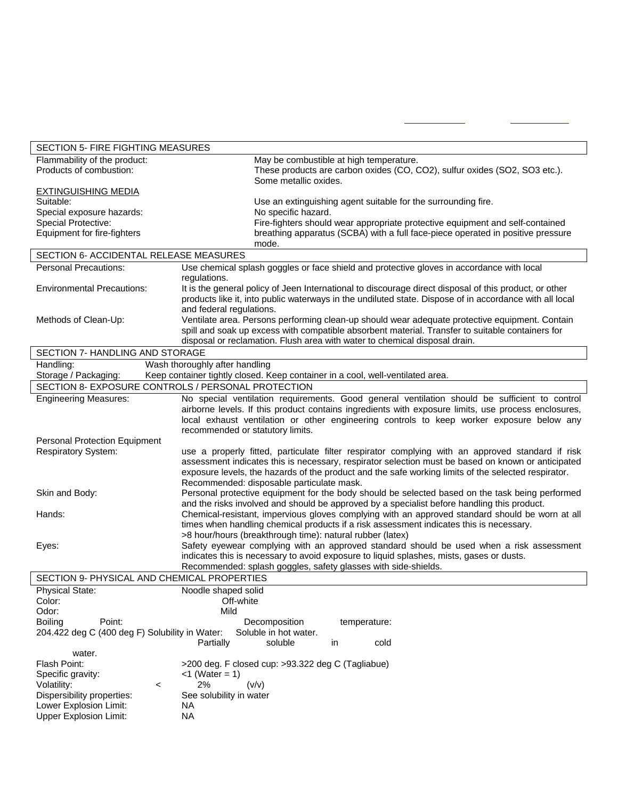| SECTION 5- FIRE FIGHTING MEASURES              |                                                                                                                                                                                                        |  |  |
|------------------------------------------------|--------------------------------------------------------------------------------------------------------------------------------------------------------------------------------------------------------|--|--|
| Flammability of the product:                   | May be combustible at high temperature.                                                                                                                                                                |  |  |
| Products of combustion:                        | These products are carbon oxides (CO, CO2), sulfur oxides (SO2, SO3 etc.).<br>Some metallic oxides.                                                                                                    |  |  |
| <b>EXTINGUISHING MEDIA</b>                     |                                                                                                                                                                                                        |  |  |
| Suitable:                                      | Use an extinguishing agent suitable for the surrounding fire.                                                                                                                                          |  |  |
| Special exposure hazards:                      | No specific hazard.                                                                                                                                                                                    |  |  |
| Special Protective:                            | Fire-fighters should wear appropriate protective equipment and self-contained                                                                                                                          |  |  |
| Equipment for fire-fighters                    | breathing apparatus (SCBA) with a full face-piece operated in positive pressure<br>mode.                                                                                                               |  |  |
| SECTION 6- ACCIDENTAL RELEASE MEASURES         |                                                                                                                                                                                                        |  |  |
| <b>Personal Precautions:</b>                   | Use chemical splash goggles or face shield and protective gloves in accordance with local                                                                                                              |  |  |
|                                                | regulations.                                                                                                                                                                                           |  |  |
| <b>Environmental Precautions:</b>              | It is the general policy of Jeen International to discourage direct disposal of this product, or other                                                                                                 |  |  |
|                                                | products like it, into public waterways in the undiluted state. Dispose of in accordance with all local<br>and federal regulations.                                                                    |  |  |
| Methods of Clean-Up:                           | Ventilate area. Persons performing clean-up should wear adequate protective equipment. Contain                                                                                                         |  |  |
|                                                | spill and soak up excess with compatible absorbent material. Transfer to suitable containers for                                                                                                       |  |  |
|                                                | disposal or reclamation. Flush area with water to chemical disposal drain.                                                                                                                             |  |  |
| SECTION 7- HANDLING AND STORAGE                |                                                                                                                                                                                                        |  |  |
| Handling:                                      | Wash thoroughly after handling                                                                                                                                                                         |  |  |
| Storage / Packaging:                           | Keep container tightly closed. Keep container in a cool, well-ventilated area.                                                                                                                         |  |  |
|                                                | SECTION 8- EXPOSURE CONTROLS / PERSONAL PROTECTION                                                                                                                                                     |  |  |
| <b>Engineering Measures:</b>                   | No special ventilation requirements. Good general ventilation should be sufficient to control                                                                                                          |  |  |
|                                                | airborne levels. If this product contains ingredients with exposure limits, use process enclosures,                                                                                                    |  |  |
|                                                | local exhaust ventilation or other engineering controls to keep worker exposure below any                                                                                                              |  |  |
|                                                | recommended or statutory limits.                                                                                                                                                                       |  |  |
| <b>Personal Protection Equipment</b>           |                                                                                                                                                                                                        |  |  |
| <b>Respiratory System:</b>                     | use a properly fitted, particulate filter respirator complying with an approved standard if risk<br>assessment indicates this is necessary, respirator selection must be based on known or anticipated |  |  |
|                                                | exposure levels, the hazards of the product and the safe working limits of the selected respirator.                                                                                                    |  |  |
|                                                | Recommended: disposable particulate mask.                                                                                                                                                              |  |  |
| Skin and Body:                                 | Personal protective equipment for the body should be selected based on the task being performed                                                                                                        |  |  |
|                                                | and the risks involved and should be approved by a specialist before handling this product.                                                                                                            |  |  |
| Hands:                                         | Chemical-resistant, impervious gloves complying with an approved standard should be worn at all                                                                                                        |  |  |
|                                                | times when handling chemical products if a risk assessment indicates this is necessary.                                                                                                                |  |  |
|                                                | >8 hour/hours (breakthrough time): natural rubber (latex)                                                                                                                                              |  |  |
| Eyes:                                          | Safety eyewear complying with an approved standard should be used when a risk assessment                                                                                                               |  |  |
|                                                | indicates this is necessary to avoid exposure to liquid splashes, mists, gases or dusts.                                                                                                               |  |  |
|                                                | Recommended: splash goggles, safety glasses with side-shields.                                                                                                                                         |  |  |
| SECTION 9- PHYSICAL AND CHEMICAL PROPERTIES    |                                                                                                                                                                                                        |  |  |
| <b>Physical State:</b>                         | Noodle shaped solid<br>Off-white                                                                                                                                                                       |  |  |
| Color:<br>Odor:                                | Mild                                                                                                                                                                                                   |  |  |
| <b>Boiling</b><br>Point:                       | Decomposition<br>temperature:                                                                                                                                                                          |  |  |
| 204.422 deg C (400 deg F) Solubility in Water: | Soluble in hot water.                                                                                                                                                                                  |  |  |
|                                                | Partially<br>soluble<br>cold<br>in                                                                                                                                                                     |  |  |
| water.                                         |                                                                                                                                                                                                        |  |  |
| Flash Point:                                   | >200 deg. F closed cup: >93.322 deg C (Tagliabue)                                                                                                                                                      |  |  |
| Specific gravity:                              | $<$ 1 (Water = 1)                                                                                                                                                                                      |  |  |
| Volatility:<br>$\,<\,$                         | 2%<br>(v/v)                                                                                                                                                                                            |  |  |
| Dispersibility properties:                     | See solubility in water                                                                                                                                                                                |  |  |
| Lower Explosion Limit:                         | NA.                                                                                                                                                                                                    |  |  |
| <b>Upper Explosion Limit:</b>                  | <b>NA</b>                                                                                                                                                                                              |  |  |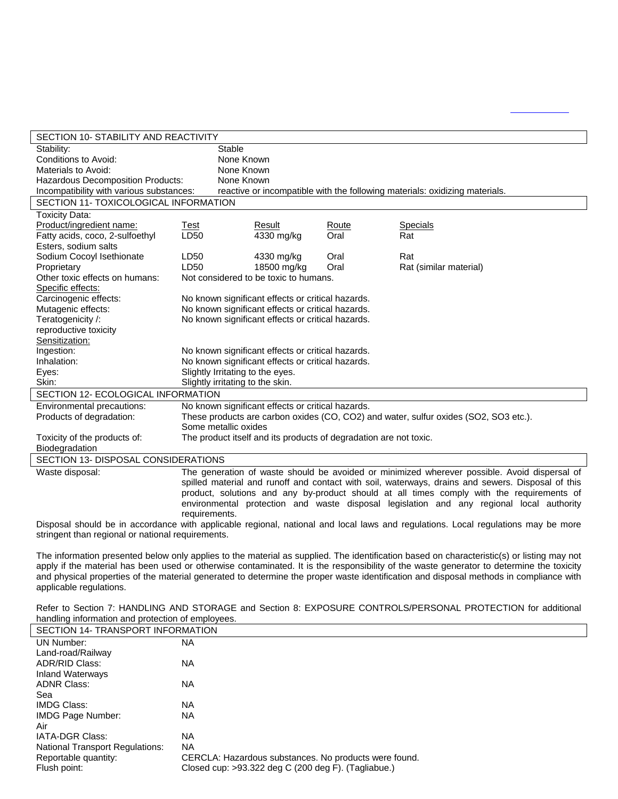| SECTION 10- STABILITY AND REACTIVITY     |                                                                                           |                                                                   |       |                                                                                                                           |
|------------------------------------------|-------------------------------------------------------------------------------------------|-------------------------------------------------------------------|-------|---------------------------------------------------------------------------------------------------------------------------|
| Stability:                               | Stable                                                                                    |                                                                   |       |                                                                                                                           |
| Conditions to Avoid:                     | None Known                                                                                |                                                                   |       |                                                                                                                           |
| Materials to Avoid:                      |                                                                                           | None Known                                                        |       |                                                                                                                           |
| Hazardous Decomposition Products:        | None Known                                                                                |                                                                   |       |                                                                                                                           |
| Incompatibility with various substances: | reactive or incompatible with the following materials: oxidizing materials.               |                                                                   |       |                                                                                                                           |
| SECTION 11- TOXICOLOGICAL INFORMATION    |                                                                                           |                                                                   |       |                                                                                                                           |
| Toxicity Data:                           |                                                                                           |                                                                   |       |                                                                                                                           |
| Product/ingredient name:                 | Test                                                                                      | Result                                                            | Route | <b>Specials</b>                                                                                                           |
| Fatty acids, coco, 2-sulfoethyl          | LD50                                                                                      | 4330 mg/kg                                                        | Oral  | Rat                                                                                                                       |
| Esters, sodium salts                     |                                                                                           |                                                                   |       |                                                                                                                           |
| Sodium Cocoyl Isethionate                | LD50                                                                                      | 4330 mg/kg                                                        | Oral  | Rat                                                                                                                       |
| Proprietary                              | LD50                                                                                      | 18500 mg/kg                                                       | Oral  | Rat (similar material)                                                                                                    |
| Other toxic effects on humans:           | Not considered to be toxic to humans.                                                     |                                                                   |       |                                                                                                                           |
| Specific effects:                        |                                                                                           |                                                                   |       |                                                                                                                           |
| Carcinogenic effects:                    |                                                                                           | No known significant effects or critical hazards.                 |       |                                                                                                                           |
| Mutagenic effects:                       |                                                                                           | No known significant effects or critical hazards.                 |       |                                                                                                                           |
| Teratogenicity /:                        |                                                                                           | No known significant effects or critical hazards.                 |       |                                                                                                                           |
| reproductive toxicity                    |                                                                                           |                                                                   |       |                                                                                                                           |
| Sensitization:                           |                                                                                           |                                                                   |       |                                                                                                                           |
| Ingestion:                               |                                                                                           | No known significant effects or critical hazards.                 |       |                                                                                                                           |
| Inhalation:                              |                                                                                           | No known significant effects or critical hazards.                 |       |                                                                                                                           |
| Eyes:                                    | Slightly Irritating to the eyes.                                                          |                                                                   |       |                                                                                                                           |
| Skin:                                    | Slightly irritating to the skin.                                                          |                                                                   |       |                                                                                                                           |
| SECTION 12- ECOLOGICAL INFORMATION       |                                                                                           |                                                                   |       |                                                                                                                           |
| Environmental precautions:               |                                                                                           | No known significant effects or critical hazards.                 |       |                                                                                                                           |
| Products of degradation:                 |                                                                                           |                                                                   |       | These products are carbon oxides (CO, CO2) and water, sulfur oxides (SO2, SO3 etc.).                                      |
|                                          | Some metallic oxides                                                                      |                                                                   |       |                                                                                                                           |
| Toxicity of the products of:             |                                                                                           | The product itself and its products of degradation are not toxic. |       |                                                                                                                           |
| Biodegradation                           |                                                                                           |                                                                   |       |                                                                                                                           |
| SECTION 13- DISPOSAL CONSIDERATIONS      |                                                                                           |                                                                   |       |                                                                                                                           |
| Waste disposal:                          |                                                                                           |                                                                   |       | The generation of waste should be avoided or minimized wherever possible. Avoid dispersal of                              |
|                                          |                                                                                           |                                                                   |       | spilled material and runoff and contact with soil, waterways, drains and sewers. Disposal of this                         |
|                                          | product, solutions and any by-product should at all times comply with the requirements of |                                                                   |       |                                                                                                                           |
|                                          |                                                                                           |                                                                   |       | environmental protection and waste disposal legislation and any regional local authority                                  |
|                                          | requirements.                                                                             |                                                                   |       |                                                                                                                           |
|                                          |                                                                                           |                                                                   |       | Disposal aboutel be in coordense with contigable regional and performal level and requisional each requisions may be mere |

Disposal should be in accordance with applicable regional, national and local laws and regulations. Local regulations may be more stringent than regional or national requirements.

The information presented below only applies to the material as supplied. The identification based on characteristic(s) or listing may not apply if the material has been used or otherwise contaminated. It is the responsibility of the waste generator to determine the toxicity and physical properties of the material generated to determine the proper waste identification and disposal methods in compliance with applicable regulations.

| Refer to Section 7: HANDLING AND STORAGE and Section 8: EXPOSURE CONTROLS/PERSONAL PROTECTION for additional |  |  |
|--------------------------------------------------------------------------------------------------------------|--|--|
| handling information and protection of employees.                                                            |  |  |

| <u>Harlulling implifiation and protection of employees.</u> |                                                       |  |
|-------------------------------------------------------------|-------------------------------------------------------|--|
| SECTION 14- TRANSPORT INFORMATION                           |                                                       |  |
| UN Number:                                                  | NA.                                                   |  |
| Land-road/Railway                                           |                                                       |  |
| ADR/RID Class:                                              | <b>NA</b>                                             |  |
| <b>Inland Waterways</b>                                     |                                                       |  |
| <b>ADNR Class:</b>                                          | NA.                                                   |  |
| Sea                                                         |                                                       |  |
| IMDG Class:                                                 | NA                                                    |  |
| <b>IMDG Page Number:</b>                                    | ΝA                                                    |  |
| Air                                                         |                                                       |  |
| <b>IATA-DGR Class:</b>                                      | NA.                                                   |  |
| <b>National Transport Regulations:</b>                      | <b>NA</b>                                             |  |
| Reportable quantity:                                        | CERCLA: Hazardous substances. No products were found. |  |
| Flush point:                                                | Closed cup: >93.322 deg C (200 deg F). (Tagliabue.)   |  |